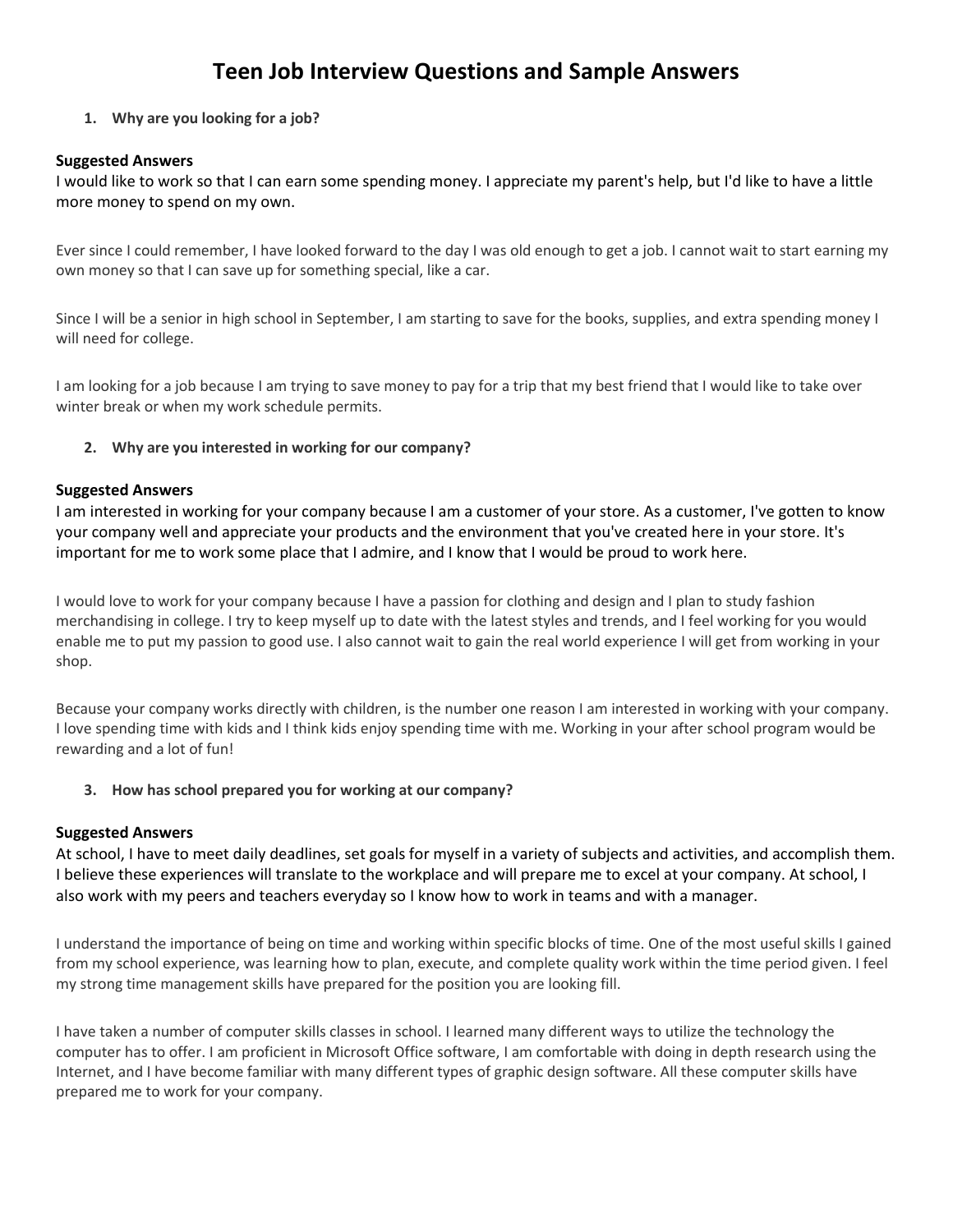# **Teen Job Interview Questions and Sample Answers**

## **1. Why are you looking for a job?**

#### **Suggested Answers**

I would like to work so that I can earn some spending money. I appreciate my parent's help, but I'd like to have a little more money to spend on my own.

Ever since I could remember, I have looked forward to the day I was old enough to get a job. I cannot wait to start earning my own money so that I can save up for something special, like a car.

Since I will be a senior in high school in September, I am starting to save for the books, supplies, and extra spending money I will need for college.

I am looking for a job because I am trying to save money to pay for a trip that my best friend that I would like to take over winter break or when my work schedule permits.

#### **2. Why are you interested in working for our company?**

#### **Suggested Answers**

I am interested in working for your company because I am a customer of your store. As a customer, I've gotten to know your company well and appreciate your products and the environment that you've created here in your store. It's important for me to work some place that I admire, and I know that I would be proud to work here.

I would love to work for your company because I have a passion for clothing and design and I plan to study fashion merchandising in college. I try to keep myself up to date with the latest styles and trends, and I feel working for you would enable me to put my passion to good use. I also cannot wait to gain the real world experience I will get from working in your shop.

Because your company works directly with children, is the number one reason I am interested in working with your company. I love spending time with kids and I think kids enjoy spending time with me. Working in your after school program would be rewarding and a lot of fun!

#### **3. How has school prepared you for working at our company?**

## **Suggested Answers**

At school, I have to meet daily deadlines, set goals for myself in a variety of subjects and activities, and accomplish them. I believe these experiences will translate to the workplace and will prepare me to excel at your company. At school, I also work with my peers and teachers everyday so I know how to work in teams and with a manager.

I understand the importance of being on time and working within specific blocks of time. One of the most useful skills I gained from my school experience, was learning how to plan, execute, and complete quality work within the time period given. I feel my strong time management skills have prepared for the position you are looking fill.

I have taken a number of computer skills classes in school. I learned many different ways to utilize the technology the computer has to offer. I am proficient in Microsoft Office software, I am comfortable with doing in depth research using the Internet, and I have become familiar with many different types of graphic design software. All these computer skills have prepared me to work for your company.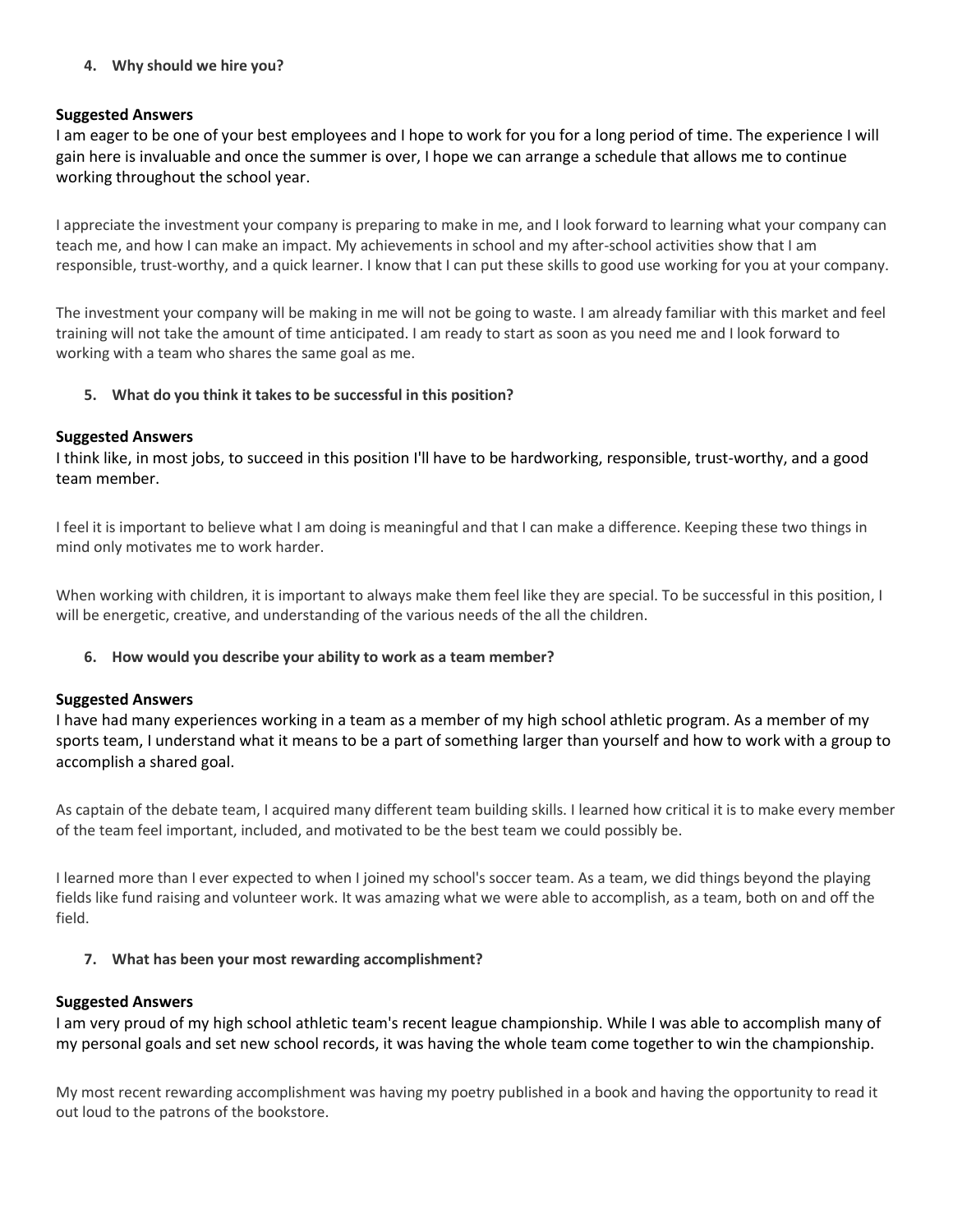## **4. Why should we hire you?**

## **Suggested Answers**

I am eager to be one of your best employees and I hope to work for you for a long period of time. The experience I will gain here is invaluable and once the summer is over, I hope we can arrange a schedule that allows me to continue working throughout the school year.

I appreciate the investment your company is preparing to make in me, and I look forward to learning what your company can teach me, and how I can make an impact. My achievements in school and my after-school activities show that I am responsible, trust-worthy, and a quick learner. I know that I can put these skills to good use working for you at your company.

The investment your company will be making in me will not be going to waste. I am already familiar with this market and feel training will not take the amount of time anticipated. I am ready to start as soon as you need me and I look forward to working with a team who shares the same goal as me.

## **5. What do you think it takes to be successful in this position?**

#### **Suggested Answers**

I think like, in most jobs, to succeed in this position I'll have to be hardworking, responsible, trust-worthy, and a good team member.

I feel it is important to believe what I am doing is meaningful and that I can make a difference. Keeping these two things in mind only motivates me to work harder.

When working with children, it is important to always make them feel like they are special. To be successful in this position, I will be energetic, creative, and understanding of the various needs of the all the children.

## **6. How would you describe your ability to work as a team member?**

#### **Suggested Answers**

I have had many experiences working in a team as a member of my high school athletic program. As a member of my sports team, I understand what it means to be a part of something larger than yourself and how to work with a group to accomplish a shared goal.

As captain of the debate team, I acquired many different team building skills. I learned how critical it is to make every member of the team feel important, included, and motivated to be the best team we could possibly be.

I learned more than I ever expected to when I joined my school's soccer team. As a team, we did things beyond the playing fields like fund raising and volunteer work. It was amazing what we were able to accomplish, as a team, both on and off the field.

## **7. What has been your most rewarding accomplishment?**

## **Suggested Answers**

I am very proud of my high school athletic team's recent league championship. While I was able to accomplish many of my personal goals and set new school records, it was having the whole team come together to win the championship.

My most recent rewarding accomplishment was having my poetry published in a book and having the opportunity to read it out loud to the patrons of the bookstore.